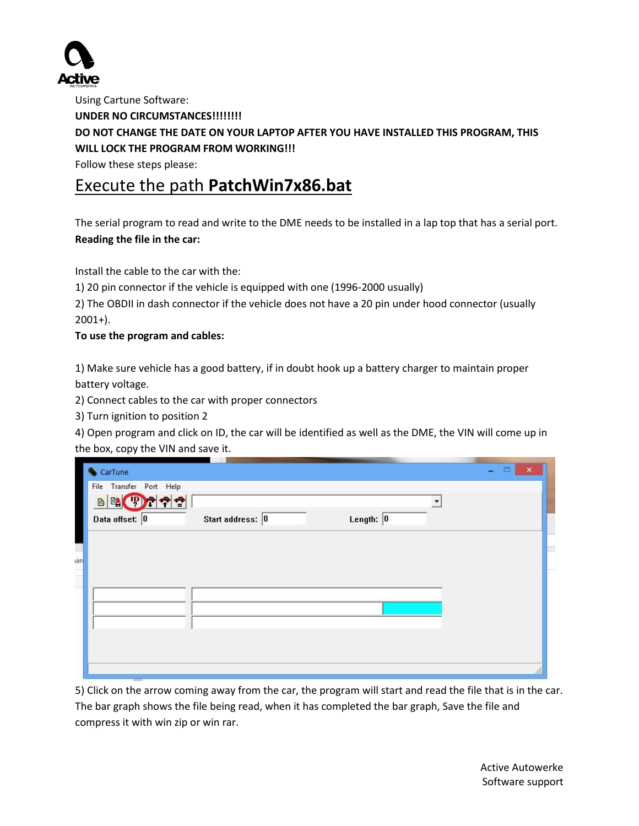

Using Cartune Software: **UNDER NO CIRCUMSTANCES!!!!!!!! DO NOT CHANGE THE DATE ON YOUR LAPTOP AFTER YOU HAVE INSTALLED THIS PROGRAM, THIS WILL LOCK THE PROGRAM FROM WORKING!!!** Follow these steps please:

## Execute the path **PatchWin7x86.bat**

The serial program to read and write to the DME needs to be installed in a lap top that has a serial port. **Reading the file in the car:**

Install the cable to the car with the:

1) 20 pin connector if the vehicle is equipped with one (1996-2000 usually)

2) The OBDII in dash connector if the vehicle does not have a 20 pin under hood connector (usually 2001+).

## **To use the program and cables:**

1) Make sure vehicle has a good battery, if in doubt hook up a battery charger to maintain proper battery voltage.

2) Connect cables to the car with proper connectors

3) Turn ignition to position 2

4) Open program and click on ID, the car will be identified as well as the DME, the VIN will come up in the box, copy the VIN and save it.

| CarTune                 |                  |                     |  |
|-------------------------|------------------|---------------------|--|
| File Transfer Port Help |                  |                     |  |
| <b>BEOTTO</b>           |                  |                     |  |
| Data offset: 0          | Start address: 0 | Length: $\boxed{0}$ |  |
|                         |                  |                     |  |
| lar                     |                  |                     |  |
|                         |                  |                     |  |
|                         |                  |                     |  |
|                         |                  |                     |  |
|                         |                  |                     |  |
|                         |                  |                     |  |
|                         |                  |                     |  |
|                         |                  |                     |  |

5) Click on the arrow coming away from the car, the program will start and read the file that is in the car. The bar graph shows the file being read, when it has completed the bar graph, Save the file and compress it with win zip or win rar.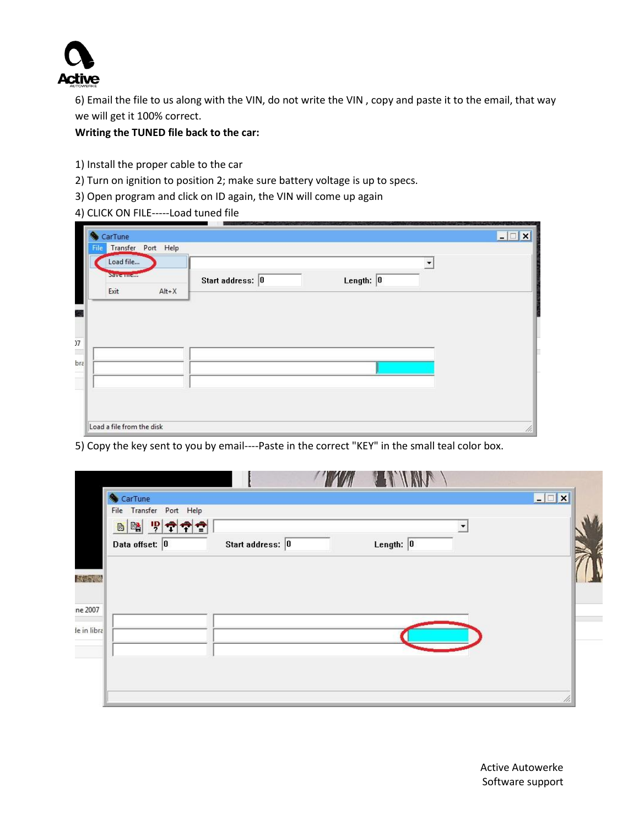

6) Email the file to us along with the VIN, do not write the VIN , copy and paste it to the email, that way we will get it 100% correct.

**Writing the TUNED file back to the car:**

- 1) Install the proper cable to the car
- 2) Turn on ignition to position 2; make sure battery voltage is up to specs.
- 3) Open program and click on ID again, the VIN will come up again
- 4) CLICK ON FILE-----Load tuned file

| File<br>Load file | Transfer Port Help |                  |                                             |  |
|-------------------|--------------------|------------------|---------------------------------------------|--|
| Save mem<br>Exit  | $Alt+X$            | Start address: 0 | $\blacktriangledown$<br>Length: $\boxed{0}$ |  |
|                   |                    |                  |                                             |  |
|                   |                    |                  |                                             |  |
|                   |                    |                  |                                             |  |

5) Copy the key sent to you by email----Paste in the correct "KEY" in the small teal color box.

|              | CarTune                 |                  |                     | <b>EDX</b> |
|--------------|-------------------------|------------------|---------------------|------------|
|              | File Transfer Port Help |                  |                     |            |
|              | 日曜 위주주습                 |                  |                     |            |
|              | Data offset: 0          | Start address: 0 | Length: $\boxed{0}$ |            |
|              |                         |                  |                     |            |
| <b>大切ないの</b> |                         |                  |                     |            |
|              |                         |                  |                     |            |
| ne 2007      |                         |                  |                     |            |
| le in libra  |                         |                  |                     |            |
|              |                         |                  |                     |            |
|              |                         |                  |                     |            |
|              |                         |                  |                     |            |
|              |                         |                  |                     |            |
|              |                         |                  |                     | u          |

Active Autowerke Software support